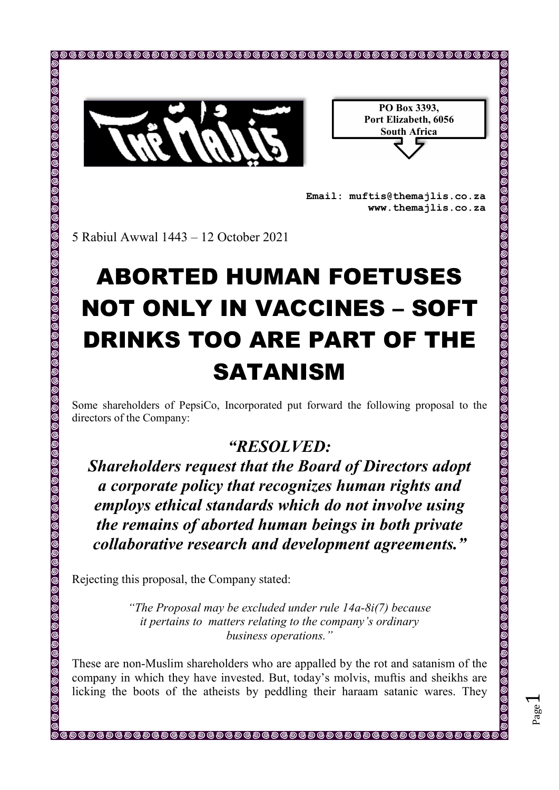

| PO Box 3393,         |
|----------------------|
| Port Elizabeth, 6056 |
| <b>South Africa</b>  |
|                      |

Page  $\overline{\phantom{0}}$ 

**Email: muftis@themajlis.co.za www.themajlis.co.za** 

5 Rabiul Awwal 1443 – 12 October 2021

## ABORTED HUMAN FOETUSES NOT ONLY IN VACCINES – SOFT DRINKS TOO ARE PART OF THE **SATANISM**

Some shareholders of PepsiCo, Incorporated put forward the following proposal to the directors of the Company:

## *"RESOLVED:*

*Shareholders request that the Board of Directors adopt a corporate policy that recognizes human rights and employs ethical standards which do not involve using the remains of aborted human beings in both private collaborative research and development agreements."*

Rejecting this proposal, the Company stated:

*"The Proposal may be excluded under rule 14a-8i(7) because it pertains to matters relating to the company's ordinary business operations."* 

These are non-Muslim shareholders who are appalled by the rot and satanism of the company in which they have invested. But, today's molvis, muftis and sheikhs are licking the boots of the atheists by peddling their haraam satanic wares. They

®®®®®®®®®®®®®®®®®®®®®®®®®®®®®®®®®®®®